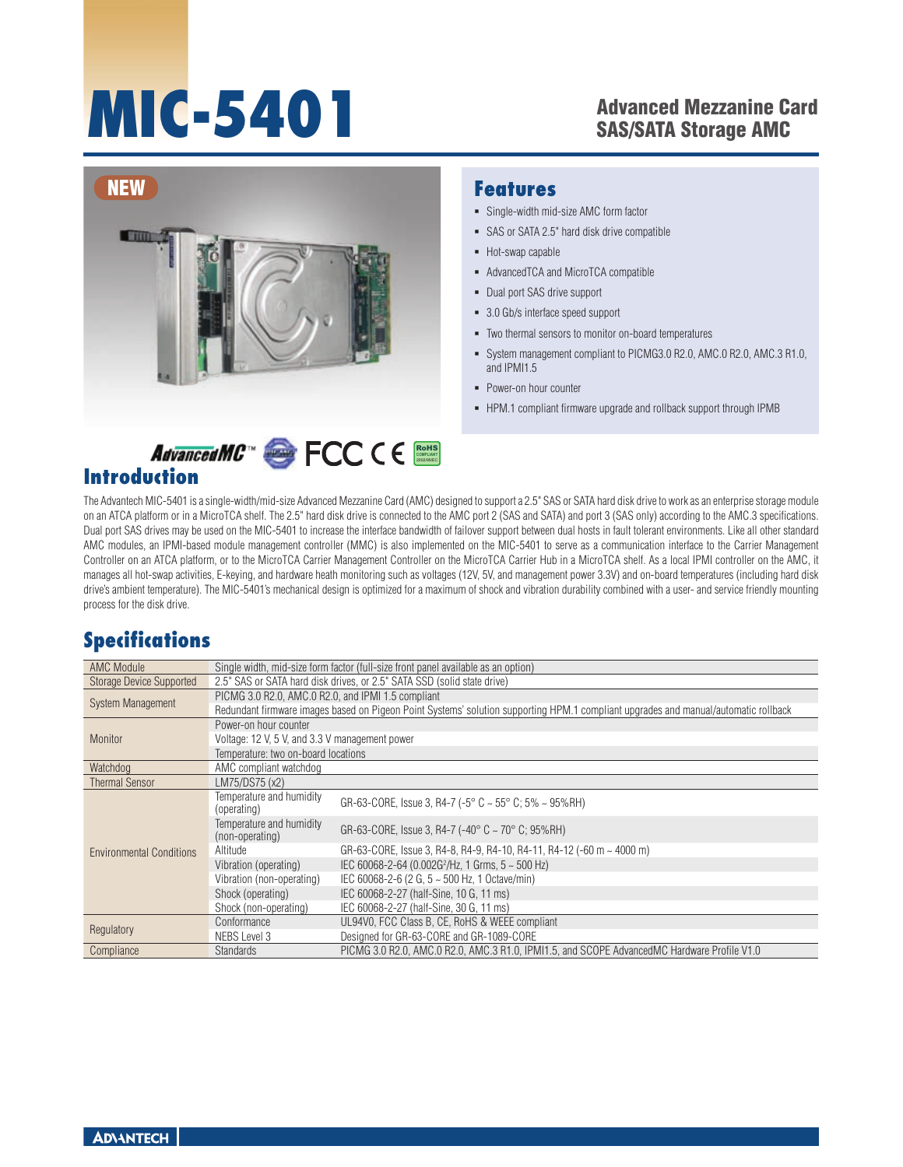# **MIC-5401**

### Advanced Mezzanine Card SAS/SATA Storage AMC



#### **Features**

- Single-width mid-size AMC form factor
- SAS or SATA 2.5" hard disk drive compatible
- Hot-swap capable
- AdvancedTCA and MicroTCA compatible
- Dual port SAS drive support
- 3.0 Gb/s interface speed support
- Two thermal sensors to monitor on-board temperatures
- System management compliant to PICMG3.0 R2.0, AMC.0 R2.0, AMC.3 R1.0, and IPMI1.5  $\bar{\phantom{a}}$
- **Power-on hour counter**
- HPM.1 compliant firmware upgrade and rollback support through IPMB

# **Introduction**

The Advantech MIC-5401 is a single-width/mid-size Advanced Mezzanine Card (AMC) designed to support a 2.5" SAS or SATA hard disk drive to work as an enterprise storage module on an ATCA platform or in a MicroTCA shelf. The 2.5" hard disk drive is connected to the AMC port 2 (SAS and SATA) and port 3 (SAS only) according to the AMC.3 specifications. Dual port SAS drives may be used on the MIC-5401 to increase the interface bandwidth of failover support between dual hosts in fault tolerant environments. Like all other standard AMC modules, an IPMI-based module management controller (MMC) is also implemented on the MIC-5401 to serve as a communication interface to the Carrier Management Controller on an ATCA platform, or to the MicroTCA Carrier Management Controller on the MicroTCA Carrier Hub in a MicroTCA shelf. As a local IPMI controller on the AMC, it manages all hot-swap activities, E-keying, and hardware heath monitoring such as voltages (12V, 5V, and management power 3.3V) and on-board temperatures (including hard disk drive's ambient temperature). The MIC-5401's mechanical design is optimized for a maximum of shock and vibration durability combined with a user- and service friendly mounting process for the disk drive.

RoHS **COMPLIANT** 2002/95/EC

## **Specifications**

| <b>AMC Module</b>               | Single width, mid-size form factor (full-size front panel available as an option)                                                   |                                                                                             |  |
|---------------------------------|-------------------------------------------------------------------------------------------------------------------------------------|---------------------------------------------------------------------------------------------|--|
| <b>Storage Device Supported</b> | 2.5" SAS or SATA hard disk drives, or 2.5" SATA SSD (solid state drive)                                                             |                                                                                             |  |
| <b>System Management</b>        | PICMG 3.0 R2.0, AMC.0 R2.0, and IPMI 1.5 compliant                                                                                  |                                                                                             |  |
|                                 | Redundant firmware images based on Pigeon Point Systems' solution supporting HPM.1 compliant upgrades and manual/automatic rollback |                                                                                             |  |
| Monitor                         | Power-on hour counter                                                                                                               |                                                                                             |  |
|                                 | Voltage: 12 V, 5 V, and 3.3 V management power                                                                                      |                                                                                             |  |
|                                 | Temperature: two on-board locations                                                                                                 |                                                                                             |  |
| Watchdog                        | AMC compliant watchdog                                                                                                              |                                                                                             |  |
| <b>Thermal Sensor</b>           | LM75/DS75 (x2)                                                                                                                      |                                                                                             |  |
| <b>Environmental Conditions</b> | Temperature and humidity<br>(operating)                                                                                             | GR-63-CORE, Issue 3, R4-7 (-5 $^{\circ}$ C ~ 55 $^{\circ}$ C; 5% ~ 95%RH)                   |  |
|                                 | Temperature and humidity<br>(non-operating)                                                                                         | GR-63-CORE, Issue 3, R4-7 (-40 $^{\circ}$ C ~ 70 $^{\circ}$ C; 95%RH)                       |  |
|                                 | Altitude                                                                                                                            | GR-63-CORE, Issue 3, R4-8, R4-9, R4-10, R4-11, R4-12 (-60 m $\sim$ 4000 m)                  |  |
|                                 | Vibration (operating)                                                                                                               | IEC 60068-2-64 (0.002G <sup>2</sup> /Hz, 1 Grms, $5 \sim 500$ Hz)                           |  |
|                                 | Vibration (non-operating)                                                                                                           | IEC 60068-2-6 (2 G, $5 \sim 500$ Hz, 1 Octave/min)                                          |  |
|                                 | Shock (operating)                                                                                                                   | IEC 60068-2-27 (half-Sine, 10 G, 11 ms)                                                     |  |
|                                 | Shock (non-operating)                                                                                                               | IEC 60068-2-27 (half-Sine, 30 G, 11 ms)                                                     |  |
| Regulatory                      | Conformance                                                                                                                         | UL94V0, FCC Class B, CE, RoHS & WEEE compliant                                              |  |
|                                 | NEBS Level 3                                                                                                                        | Designed for GR-63-CORE and GR-1089-CORE                                                    |  |
| Compliance                      | <b>Standards</b>                                                                                                                    | PICMG 3.0 R2.0, AMC.0 R2.0, AMC.3 R1.0, IPMI1.5, and SCOPE AdvancedMC Hardware Profile V1.0 |  |